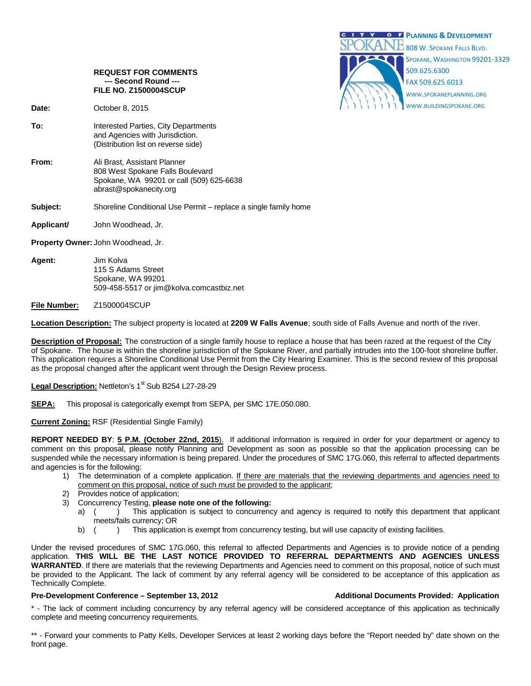

### **REQUEST FOR COMMENTS --- Second Round --- FILE NO. Z1500004SCUP**

**Date:** October 8, 2015

- **To:** Interested Parties, City Departments and Agencies with Jurisdiction. (Distribution list on reverse side)
- **From:** Ali Brast, Assistant Planner 808 West Spokane Falls Boulevard Spokane, WA 99201 or call (509) 625-6638 abrast@spokanecity.org
- **Subject:** Shoreline Conditional Use Permit replace a single family home
- **Applicant/** John Woodhead, Jr.

**Property Owner:** John Woodhead, Jr.

- **Agent:** Jim Kolva 115 S Adams Street Spokane, WA 99201 509-458-5517 or jim@kolva.comcastbiz.net
- **File Number:** Z1500004SCUP

**Location Description:** The subject property is located at **2209 W Falls Avenue**; south side of Falls Avenue and north of the river.

**Description of Proposal:** The construction of a single family house to replace a house that has been razed at the request of the City of Spokane. The house is within the shoreline jurisdiction of the Spokane River, and partially intrudes into the 100-foot shoreline buffer. This application requires a Shoreline Conditional Use Permit from the City Hearing Examiner. This is the second review of this proposal as the proposal changed after the applicant went through the Design Review process.

Legal Description: Nettleton's 1<sup>st</sup> Sub B254 L27-28-29

SEPA: This proposal is categorically exempt from SEPA, per SMC 17E.050.080.

## **Current Zoning:** RSF (Residential Single Family)

**REPORT NEEDED BY**: **5 P.M. (October 22nd, 2015**). If additional information is required in order for your department or agency to comment on this proposal, please notify Planning and Development as soon as possible so that the application processing can be suspended while the necessary information is being prepared. Under the procedures of SMC 17G.060, this referral to affected departments and agencies is for the following:

- 1) The determination of a complete application. If there are materials that the reviewing departments and agencies need to comment on this proposal, notice of such must be provided to the applicant;
- 2) Provides notice of application;
- 3) Concurrency Testing, **please note one of the following:**
	- a) () This application is subject to concurrency and agency is required to notify this department that applicant meets/fails currency; OR
	- b) ( ) This application is exempt from concurrency testing, but will use capacity of existing facilities.

Under the revised procedures of SMC 17G.060, this referral to affected Departments and Agencies is to provide notice of a pending application. **THIS WILL BE THE LAST NOTICE PROVIDED TO REFERRAL DEPARTMENTS AND AGENCIES UNLESS WARRANTED**. If there are materials that the reviewing Departments and Agencies need to comment on this proposal, notice of such must be provided to the Applicant. The lack of comment by any referral agency will be considered to be acceptance of this application as Technically Complete.

## **Pre-Development Conference – September 13, 2012 Additional Documents Provided: Application**

\* - The lack of comment including concurrency by any referral agency will be considered acceptance of this application as technically complete and meeting concurrency requirements.

\*\* - Forward your comments to Patty Kells, Developer Services at least 2 working days before the "Report needed by" date shown on the front page.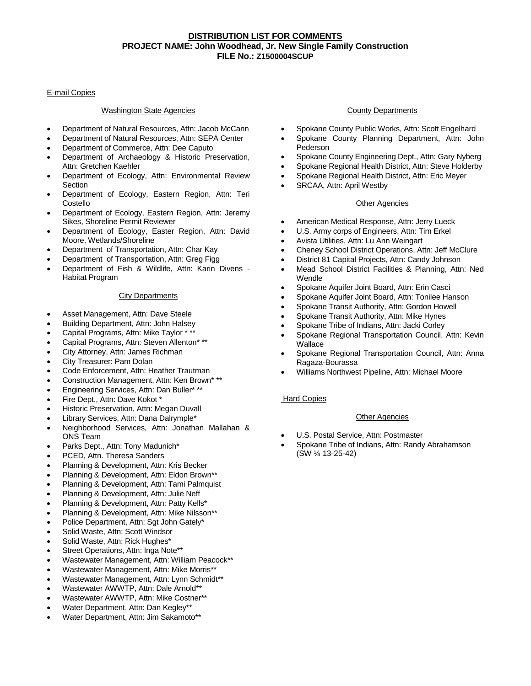# **DISTRIBUTION LIST FOR COMMENTS PROJECT NAME: John Woodhead, Jr. New Single Family Construction FILE No.: Z1500004SCUP**

## E-mail Copies

## Washington State Agencies

- Department of Natural Resources, Attn: Jacob McCann
- Department of Natural Resources, Attn: SEPA Center
- Department of Commerce, Attn: Dee Caputo
- Department of Archaeology & Historic Preservation, Attn: Gretchen Kaehler
- Department of Ecology, Attn: Environmental Review **Section**
- Department of Ecology, Eastern Region, Attn: Teri Costello
- Department of Ecology, Eastern Region, Attn: Jeremy Sikes, Shoreline Permit Reviewer
- Department of Ecology, Easter Region, Attn: David Moore, Wetlands/Shoreline
- Department of Transportation, Attn: Char Kay
- Department of Transportation, Attn: Greg Figg
- Department of Fish & Wildlife, Attn: Karin Divens Habitat Program

#### City Departments

- Asset Management, Attn: Dave Steele
- Building Department, Attn: John Halsey
- Capital Programs, Attn: Mike Taylor \* \*\*
- Capital Programs, Attn: Steven Allenton\* \*\*
- City Attorney, Attn: James Richman
- City Treasurer: Pam Dolan
- Code Enforcement, Attn: Heather Trautman
- Construction Management, Attn: Ken Brown\* \*\*
- Engineering Services, Attn: Dan Buller\* \*\*
- Fire Dept., Attn: Dave Kokot \*
- Historic Preservation, Attn: Megan Duvall
- Library Services, Attn: Dana Dalrymple\*
- Neighborhood Services, Attn: Jonathan Mallahan & ONS Team
- Parks Dept., Attn: Tony Madunich\*
- PCED, Attn. Theresa Sanders
- Planning & Development, Attn: Kris Becker
- Planning & Development, Attn: Eldon Brown\*\*
- Planning & Development, Attn: Tami Palmquist
- Planning & Development, Attn: Julie Neff
- Planning & Development, Attn: Patty Kells\*
- Planning & Development, Attn: Mike Nilsson\*\*
- Police Department, Attn: Sgt John Gately\*
- Solid Waste, Attn: Scott Windsor
- Solid Waste, Attn: Rick Hughes\*
- Street Operations, Attn: Inga Note\*\*
- Wastewater Management, Attn: William Peacock\*\*
- Wastewater Management, Attn: Mike Morris\*\*
- Wastewater Management, Attn: Lynn Schmidt\*\*
- Wastewater AWWTP, Attn: Dale Arnold\*\*
- Wastewater AWWTP, Attn: Mike Costner\*\*
- Water Department, Attn: Dan Kegley\*\*
- Water Department, Attn: Jim Sakamoto\*\*

# County Departments

- Spokane County Public Works, Attn: Scott Engelhard
- Spokane County Planning Department, Attn: John Pederson
- Spokane County Engineering Dept., Attn: Gary Nyberg
- Spokane Regional Health District, Attn: Steve Holderby
- Spokane Regional Health District, Attn: Eric Meyer
- SRCAA, Attn: April Westby

# Other Agencies

- American Medical Response, Attn: Jerry Lueck
- U.S. Army corps of Engineers, Attn: Tim Erkel
- Avista Utilities, Attn: Lu Ann Weingart
- Cheney School District Operations, Attn: Jeff McClure
- District 81 Capital Projects, Attn: Candy Johnson
- Mead School District Facilities & Planning, Attn: Ned Wendle
- Spokane Aquifer Joint Board, Attn: Erin Casci
- Spokane Aquifer Joint Board, Attn: Tonilee Hanson
- Spokane Transit Authority, Attn: Gordon Howell
- Spokane Transit Authority, Attn: Mike Hynes
- Spokane Tribe of Indians, Attn: Jacki Corley
- Spokane Regional Transportation Council, Attn: Kevin Wallace
- Spokane Regional Transportation Council, Attn: Anna Ragaza-Bourassa
- Williams Northwest Pipeline, Attn: Michael Moore

# Hard Copies

# Other Agencies

- U.S. Postal Service, Attn: Postmaster
- Spokane Tribe of Indians, Attn: Randy Abrahamson (SW ¼ 13-25-42)